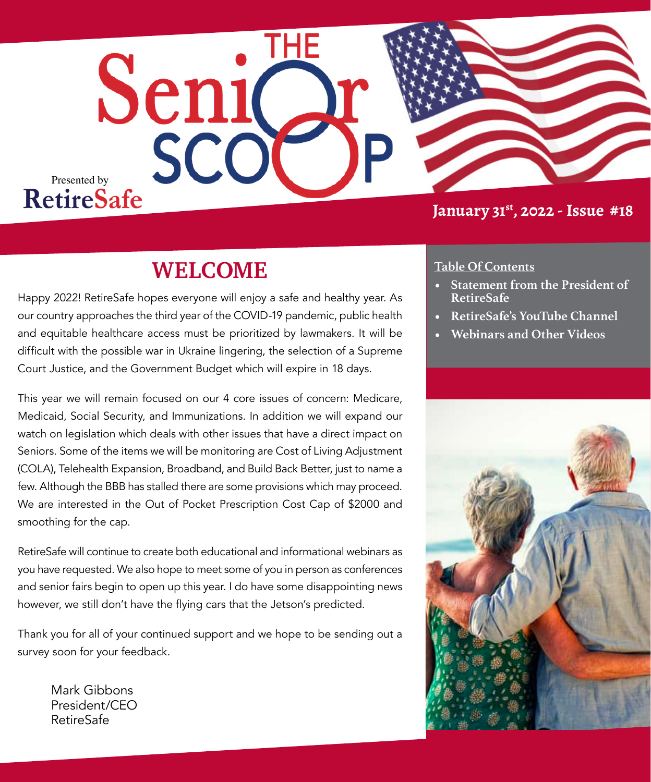

## **January 31st, 2022 - Issue #18**

## **WELCOME**

Happy 2022! RetireSafe hopes everyone will enjoy a safe and healthy year. As our country approaches the third year of the COVID-19 pandemic, public health and equitable healthcare access must be prioritized by lawmakers. It will be difficult with the possible war in Ukraine lingering, the selection of a Supreme Court Justice, and the Government Budget which will expire in 18 days.

This year we will remain focused on our 4 core issues of concern: Medicare, Medicaid, Social Security, and Immunizations. In addition we will expand our watch on legislation which deals with other issues that have a direct impact on Seniors. Some of the items we will be monitoring are Cost of Living Adjustment (COLA), Telehealth Expansion, Broadband, and Build Back Better, just to name a few. Although the BBB has stalled there are some provisions which may proceed. We are interested in the Out of Pocket Prescription Cost Cap of \$2000 and smoothing for the cap.

RetireSafe will continue to create both educational and informational webinars as you have requested. We also hope to meet some of you in person as conferences and senior fairs begin to open up this year. I do have some disappointing news however, we still don't have the flying cars that the Jetson's predicted.

Thank you for all of your continued support and we hope to be sending out a survey soon for your feedback.

Mark Gibbons President/CEO RetireSafe

### **Table Of Contents**

- **• Statement from the President of RetireSafe**
- **• RetireSafe's YouTube Channel**
- **• Webinars and Other Videos**